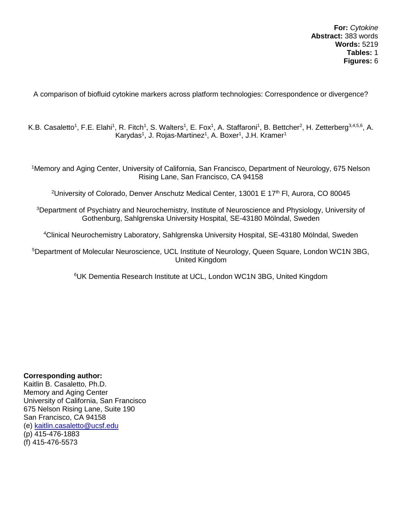A comparison of biofluid cytokine markers across platform technologies: Correspondence or divergence?

K.B. Casaletto<sup>1</sup>, F.E. Elahi<sup>1</sup>, R. Fitch<sup>1</sup>, S. Walters<sup>1</sup>, E. Fox<sup>1</sup>, A. Staffaroni<sup>1</sup>, B. Bettcher<sup>2</sup>, H. Zetterberg<sup>3,4,5,6</sup>, A. Karydas<sup>1</sup>, J. Rojas-Martinez<sup>1</sup>, A. Boxer<sup>1</sup>, J.H. Kramer<sup>1</sup>

<sup>1</sup>Memory and Aging Center, University of California, San Francisco, Department of Neurology, 675 Nelson Rising Lane, San Francisco, CA 94158

<sup>2</sup>University of Colorado, Denver Anschutz Medical Center, 13001 E 17<sup>th</sup> Fl, Aurora, CO 80045

<sup>3</sup>Department of Psychiatry and Neurochemistry, Institute of Neuroscience and Physiology, University of Gothenburg, Sahlgrenska University Hospital, SE-43180 Mölndal, Sweden

<sup>4</sup>Clinical Neurochemistry Laboratory, Sahlgrenska University Hospital, SE-43180 Mölndal, Sweden

<sup>5</sup>Department of Molecular Neuroscience, UCL Institute of Neurology, Queen Square, London WC1N 3BG, United Kingdom

<sup>6</sup>UK Dementia Research Institute at UCL, London WC1N 3BG, United Kingdom

# **Corresponding author:**

Kaitlin B. Casaletto, Ph.D. Memory and Aging Center University of California, San Francisco 675 Nelson Rising Lane, Suite 190 San Francisco, CA 94158 (e) [kaitlin.casaletto@ucsf.edu](mailto:kaitlin.casaletto@ucsf.edu) (p) 415-476-1883 (f) 415-476-5573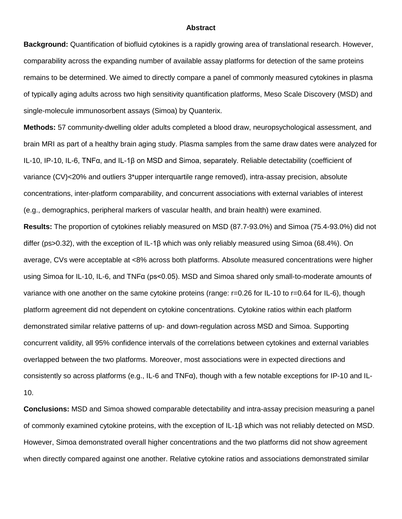#### **Abstract**

**Background:** Quantification of biofluid cytokines is a rapidly growing area of translational research. However, comparability across the expanding number of available assay platforms for detection of the same proteins remains to be determined. We aimed to directly compare a panel of commonly measured cytokines in plasma of typically aging adults across two high sensitivity quantification platforms, Meso Scale Discovery (MSD) and single-molecule immunosorbent assays (Simoa) by Quanterix.

**Methods:** 57 community-dwelling older adults completed a blood draw, neuropsychological assessment, and brain MRI as part of a healthy brain aging study. Plasma samples from the same draw dates were analyzed for IL-10, IP-10, IL-6, TNFα, and IL-1β on MSD and Simoa, separately. Reliable detectability (coefficient of variance (CV)<20% and outliers 3\*upper interquartile range removed), intra-assay precision, absolute concentrations, inter-platform comparability, and concurrent associations with external variables of interest (e.g., demographics, peripheral markers of vascular health, and brain health) were examined.

**Results:** The proportion of cytokines reliably measured on MSD (87.7-93.0%) and Simoa (75.4-93.0%) did not differ (ps>0.32), with the exception of IL-1β which was only reliably measured using Simoa (68.4%). On average, CVs were acceptable at <8% across both platforms. Absolute measured concentrations were higher using Simoa for IL-10, IL-6, and TNFα (ps<0.05). MSD and Simoa shared only small-to-moderate amounts of variance with one another on the same cytokine proteins (range: r=0.26 for IL-10 to r=0.64 for IL-6), though platform agreement did not dependent on cytokine concentrations. Cytokine ratios within each platform demonstrated similar relative patterns of up- and down-regulation across MSD and Simoa. Supporting concurrent validity, all 95% confidence intervals of the correlations between cytokines and external variables overlapped between the two platforms. Moreover, most associations were in expected directions and consistently so across platforms (e.g., IL-6 and TNFα), though with a few notable exceptions for IP-10 and IL-10.

**Conclusions:** MSD and Simoa showed comparable detectability and intra-assay precision measuring a panel of commonly examined cytokine proteins, with the exception of IL-1β which was not reliably detected on MSD. However, Simoa demonstrated overall higher concentrations and the two platforms did not show agreement when directly compared against one another. Relative cytokine ratios and associations demonstrated similar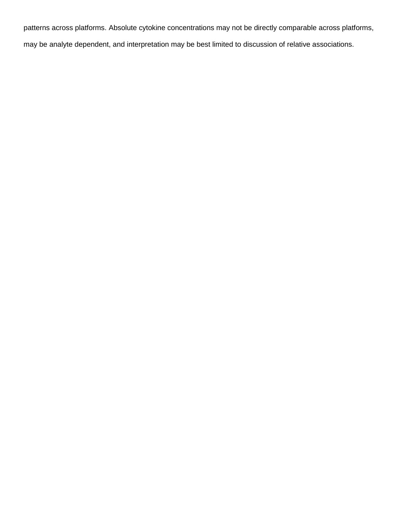patterns across platforms. Absolute cytokine concentrations may not be directly comparable across platforms, may be analyte dependent, and interpretation may be best limited to discussion of relative associations.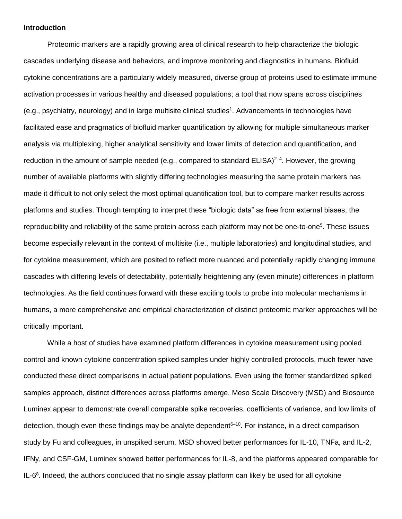#### **Introduction**

Proteomic markers are a rapidly growing area of clinical research to help characterize the biologic cascades underlying disease and behaviors, and improve monitoring and diagnostics in humans. Biofluid cytokine concentrations are a particularly widely measured, diverse group of proteins used to estimate immune activation processes in various healthy and diseased populations; a tool that now spans across disciplines (e.g., psychiatry, neurology) and in large multisite clinical studies<sup>1</sup>. Advancements in technologies have facilitated ease and pragmatics of biofluid marker quantification by allowing for multiple simultaneous marker analysis via multiplexing, higher analytical sensitivity and lower limits of detection and quantification, and reduction in the amount of sample needed (e.g., compared to standard ELISA)<sup>2-4</sup>. However, the growing number of available platforms with slightly differing technologies measuring the same protein markers has made it difficult to not only select the most optimal quantification tool, but to compare marker results across platforms and studies. Though tempting to interpret these "biologic data" as free from external biases, the reproducibility and reliability of the same protein across each platform may not be one-to-one<sup>5</sup>. These issues become especially relevant in the context of multisite (i.e., multiple laboratories) and longitudinal studies, and for cytokine measurement, which are posited to reflect more nuanced and potentially rapidly changing immune cascades with differing levels of detectability, potentially heightening any (even minute) differences in platform technologies. As the field continues forward with these exciting tools to probe into molecular mechanisms in humans, a more comprehensive and empirical characterization of distinct proteomic marker approaches will be critically important.

While a host of studies have examined platform differences in cytokine measurement using pooled control and known cytokine concentration spiked samples under highly controlled protocols, much fewer have conducted these direct comparisons in actual patient populations. Even using the former standardized spiked samples approach, distinct differences across platforms emerge. Meso Scale Discovery (MSD) and Biosource Luminex appear to demonstrate overall comparable spike recoveries, coefficients of variance, and low limits of detection, though even these findings may be analyte dependent $6-10$ . For instance, in a direct comparison study by Fu and colleagues, in unspiked serum, MSD showed better performances for IL-10, TNFa, and IL-2, IFNy, and CSF-GM, Luminex showed better performances for IL-8, and the platforms appeared comparable for  $IL-6<sup>8</sup>$ . Indeed, the authors concluded that no single assay platform can likely be used for all cytokine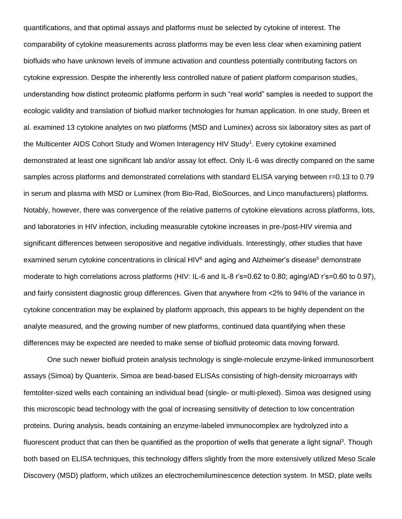quantifications, and that optimal assays and platforms must be selected by cytokine of interest. The comparability of cytokine measurements across platforms may be even less clear when examining patient biofluids who have unknown levels of immune activation and countless potentially contributing factors on cytokine expression. Despite the inherently less controlled nature of patient platform comparison studies, understanding how distinct proteomic platforms perform in such "real world" samples is needed to support the ecologic validity and translation of biofluid marker technologies for human application. In one study, Breen et al. examined 13 cytokine analytes on two platforms (MSD and Luminex) across six laboratory sites as part of the Multicenter AIDS Cohort Study and Women Interagency HIV Study<sup>1</sup>. Every cytokine examined demonstrated at least one significant lab and/or assay lot effect. Only IL-6 was directly compared on the same samples across platforms and demonstrated correlations with standard ELISA varying between r=0.13 to 0.79 in serum and plasma with MSD or Luminex (from Bio-Rad, BioSources, and Linco manufacturers) platforms. Notably, however, there was convergence of the relative patterns of cytokine elevations across platforms, lots, and laboratories in HIV infection, including measurable cytokine increases in pre-/post-HIV viremia and significant differences between seropositive and negative individuals. Interestingly, other studies that have examined serum cytokine concentrations in clinical  $HIV<sup>6</sup>$  and aging and Alzheimer's disease<sup>5</sup> demonstrate moderate to high correlations across platforms (HIV: IL-6 and IL-8 r's=0.62 to 0.80; aging/AD r's=0.60 to 0.97), and fairly consistent diagnostic group differences. Given that anywhere from <2% to 94% of the variance in cytokine concentration may be explained by platform approach, this appears to be highly dependent on the analyte measured, and the growing number of new platforms, continued data quantifying when these differences may be expected are needed to make sense of biofluid proteomic data moving forward.

One such newer biofluid protein analysis technology is single-molecule enzyme-linked immunosorbent assays (Simoa) by Quanterix. Simoa are bead-based ELISAs consisting of high-density microarrays with femtoliter-sized wells each containing an individual bead (single- or multi-plexed). Simoa was designed using this microscopic bead technology with the goal of increasing sensitivity of detection to low concentration proteins. During analysis, beads containing an enzyme-labeled immunocomplex are hydrolyzed into a fluorescent product that can then be quantified as the proportion of wells that generate a light signal<sup>3</sup>. Though both based on ELISA techniques, this technology differs slightly from the more extensively utilized Meso Scale Discovery (MSD) platform, which utilizes an electrochemiluminescence detection system. In MSD, plate wells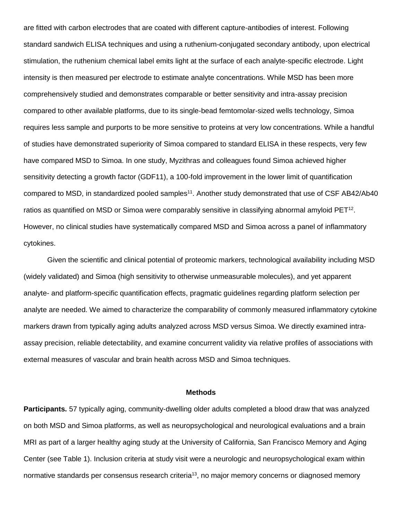are fitted with carbon electrodes that are coated with different capture-antibodies of interest. Following standard sandwich ELISA techniques and using a ruthenium-conjugated secondary antibody, upon electrical stimulation, the ruthenium chemical label emits light at the surface of each analyte-specific electrode. Light intensity is then measured per electrode to estimate analyte concentrations. While MSD has been more comprehensively studied and demonstrates comparable or better sensitivity and intra-assay precision compared to other available platforms, due to its single-bead femtomolar-sized wells technology, Simoa requires less sample and purports to be more sensitive to proteins at very low concentrations. While a handful of studies have demonstrated superiority of Simoa compared to standard ELISA in these respects, very few have compared MSD to Simoa. In one study, Myzithras and colleagues found Simoa achieved higher sensitivity detecting a growth factor (GDF11), a 100-fold improvement in the lower limit of quantification compared to MSD, in standardized pooled samples<sup>11</sup>. Another study demonstrated that use of CSF AB42/Ab40 ratios as quantified on MSD or Simoa were comparably sensitive in classifying abnormal amyloid PET<sup>12</sup>. However, no clinical studies have systematically compared MSD and Simoa across a panel of inflammatory cytokines.

Given the scientific and clinical potential of proteomic markers, technological availability including MSD (widely validated) and Simoa (high sensitivity to otherwise unmeasurable molecules), and yet apparent analyte- and platform-specific quantification effects, pragmatic guidelines regarding platform selection per analyte are needed. We aimed to characterize the comparability of commonly measured inflammatory cytokine markers drawn from typically aging adults analyzed across MSD versus Simoa. We directly examined intraassay precision, reliable detectability, and examine concurrent validity via relative profiles of associations with external measures of vascular and brain health across MSD and Simoa techniques.

### **Methods**

**Participants.** 57 typically aging, community-dwelling older adults completed a blood draw that was analyzed on both MSD and Simoa platforms, as well as neuropsychological and neurological evaluations and a brain MRI as part of a larger healthy aging study at the University of California, San Francisco Memory and Aging Center (see Table 1). Inclusion criteria at study visit were a neurologic and neuropsychological exam within normative standards per consensus research criteria<sup>13</sup>, no major memory concerns or diagnosed memory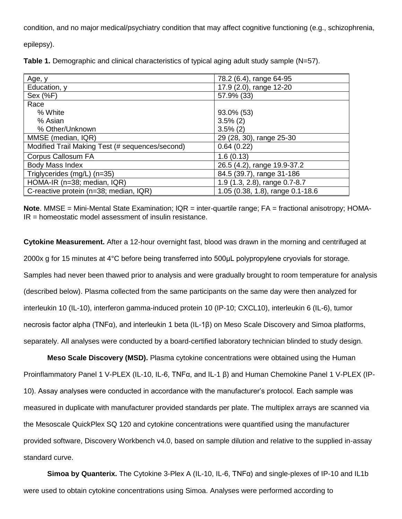condition, and no major medical/psychiatry condition that may affect cognitive functioning (e.g., schizophrenia,

epilepsy).

| Table 1. Demographic and clinical characteristics of typical aging adult study sample (N=57). |  |
|-----------------------------------------------------------------------------------------------|--|
|-----------------------------------------------------------------------------------------------|--|

| Age, y                                          | 78.2 (6.4), range 64-95          |
|-------------------------------------------------|----------------------------------|
| Education, y                                    | 17.9 (2.0), range 12-20          |
| Sex (%F)                                        | 57.9% (33)                       |
| Race                                            |                                  |
| % White                                         | 93.0% (53)                       |
| % Asian                                         | $3.5\%$ (2)                      |
| % Other/Unknown                                 | $3.5\%$ (2)                      |
| MMSE (median, IQR)                              | 29 (28, 30), range 25-30         |
| Modified Trail Making Test (# sequences/second) | 0.64(0.22)                       |
| Corpus Callosum FA                              | 1.6(0.13)                        |
| Body Mass Index                                 | 26.5 (4.2), range 19.9-37.2      |
| Triglycerides (mg/L) (n=35)                     | 84.5 (39.7), range 31-186        |
| HOMA-IR (n=38; median, IQR)                     | 1.9 (1.3, 2.8), range 0.7-8.7    |
| C-reactive protein (n=38; median, IQR)          | 1.05 (0.38, 1.8), range 0.1-18.6 |

**Note**. MMSE = Mini-Mental State Examination; IQR = inter-quartile range; FA = fractional anisotropy; HOMA- $IR = homeostatic model assessment of insulin resistance.$ 

**Cytokine Measurement.** After a 12-hour overnight fast, blood was drawn in the morning and centrifuged at 2000x g for 15 minutes at 4°C before being transferred into 500μL polypropylene cryovials for storage. Samples had never been thawed prior to analysis and were gradually brought to room temperature for analysis (described below). Plasma collected from the same participants on the same day were then analyzed for interleukin 10 (IL-10), interferon gamma-induced protein 10 (IP-10; CXCL10), interleukin 6 (IL-6), tumor necrosis factor alpha (TNFα), and interleukin 1 beta (IL-1β) on Meso Scale Discovery and Simoa platforms, separately. All analyses were conducted by a board-certified laboratory technician blinded to study design.

**Meso Scale Discovery (MSD).** Plasma cytokine concentrations were obtained using the Human Proinflammatory Panel 1 V-PLEX (IL-10, IL-6, TNFα, and IL-1 β) and Human Chemokine Panel 1 V-PLEX (IP-10). Assay analyses were conducted in accordance with the manufacturer's protocol. Each sample was measured in duplicate with manufacturer provided standards per plate. The multiplex arrays are scanned via the Mesoscale QuickPlex SQ 120 and cytokine concentrations were quantified using the manufacturer provided software, Discovery Workbench v4.0, based on sample dilution and relative to the supplied in-assay standard curve.

**Simoa by Quanterix.** The Cytokine 3-Plex A (IL-10, IL-6, TNFα) and single-plexes of IP-10 and IL1b were used to obtain cytokine concentrations using Simoa. Analyses were performed according to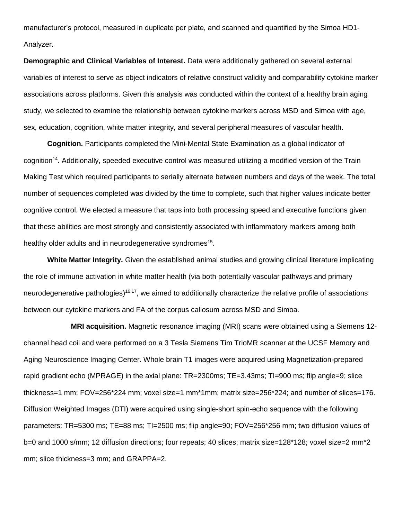manufacturer's protocol, measured in duplicate per plate, and scanned and quantified by the Simoa HD1- Analyzer.

**Demographic and Clinical Variables of Interest.** Data were additionally gathered on several external variables of interest to serve as object indicators of relative construct validity and comparability cytokine marker associations across platforms. Given this analysis was conducted within the context of a healthy brain aging study, we selected to examine the relationship between cytokine markers across MSD and Simoa with age, sex, education, cognition, white matter integrity, and several peripheral measures of vascular health.

**Cognition.** Participants completed the Mini-Mental State Examination as a global indicator of cognition<sup>14</sup>. Additionally, speeded executive control was measured utilizing a modified version of the Train Making Test which required participants to serially alternate between numbers and days of the week. The total number of sequences completed was divided by the time to complete, such that higher values indicate better cognitive control. We elected a measure that taps into both processing speed and executive functions given that these abilities are most strongly and consistently associated with inflammatory markers among both healthy older adults and in neurodegenerative syndromes<sup>15</sup>.

**White Matter Integrity.** Given the established animal studies and growing clinical literature implicating the role of immune activation in white matter health (via both potentially vascular pathways and primary neurodegenerative pathologies)<sup>16,17</sup>, we aimed to additionally characterize the relative profile of associations between our cytokine markers and FA of the corpus callosum across MSD and Simoa.

**MRI acquisition.** Magnetic resonance imaging (MRI) scans were obtained using a Siemens 12 channel head coil and were performed on a 3 Tesla Siemens Tim TrioMR scanner at the UCSF Memory and Aging Neuroscience Imaging Center. Whole brain T1 images were acquired using Magnetization-prepared rapid gradient echo (MPRAGE) in the axial plane: TR=2300ms; TE=3.43ms; TI=900 ms; flip angle=9; slice thickness=1 mm; FOV=256\*224 mm; voxel size=1 mm\*1mm; matrix size=256\*224; and number of slices=176. Diffusion Weighted Images (DTI) were acquired using single-short spin-echo sequence with the following parameters: TR=5300 ms; TE=88 ms; TI=2500 ms; flip angle=90; FOV=256\*256 mm; two diffusion values of b=0 and 1000 s/mm; 12 diffusion directions; four repeats; 40 slices; matrix size=128\*128; voxel size=2 mm\*2 mm; slice thickness=3 mm; and GRAPPA=2.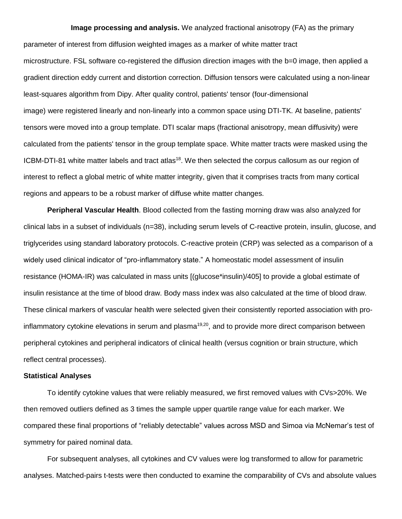#### **Image processing and analysis.** We analyzed fractional anisotropy (FA) as the primary

parameter of interest from diffusion weighted images as a marker of white matter tract microstructure. FSL software co-registered the diffusion direction images with the b=0 image, then applied a gradient direction eddy current and distortion correction. Diffusion tensors were calculated using a non-linear least-squares algorithm from Dipy. After quality control, patients' tensor (four-dimensional image) were registered linearly and non-linearly into a common space using DTI-TK. At baseline, patients' tensors were moved into a group template. DTI scalar maps (fractional anisotropy, mean diffusivity) were calculated from the patients' tensor in the group template space. White matter tracts were masked using the ICBM-DTI-81 white matter labels and tract atlas<sup>18</sup>. We then selected the corpus callosum as our region of interest to reflect a global metric of white matter integrity, given that it comprises tracts from many cortical regions and appears to be a robust marker of diffuse white matter changes.

**Peripheral Vascular Health**. Blood collected from the fasting morning draw was also analyzed for clinical labs in a subset of individuals (n=38), including serum levels of C-reactive protein, insulin, glucose, and triglycerides using standard laboratory protocols. C-reactive protein (CRP) was selected as a comparison of a widely used clinical indicator of "pro-inflammatory state." A homeostatic model assessment of insulin resistance (HOMA-IR) was calculated in mass units [(glucose\*insulin)/405] to provide a global estimate of insulin resistance at the time of blood draw. Body mass index was also calculated at the time of blood draw. These clinical markers of vascular health were selected given their consistently reported association with proinflammatory cytokine elevations in serum and plasma<sup>19,20</sup>, and to provide more direct comparison between peripheral cytokines and peripheral indicators of clinical health (versus cognition or brain structure, which reflect central processes).

## **Statistical Analyses**

To identify cytokine values that were reliably measured, we first removed values with CVs>20%. We then removed outliers defined as 3 times the sample upper quartile range value for each marker. We compared these final proportions of "reliably detectable" values across MSD and Simoa via McNemar's test of symmetry for paired nominal data.

For subsequent analyses, all cytokines and CV values were log transformed to allow for parametric analyses. Matched-pairs t-tests were then conducted to examine the comparability of CVs and absolute values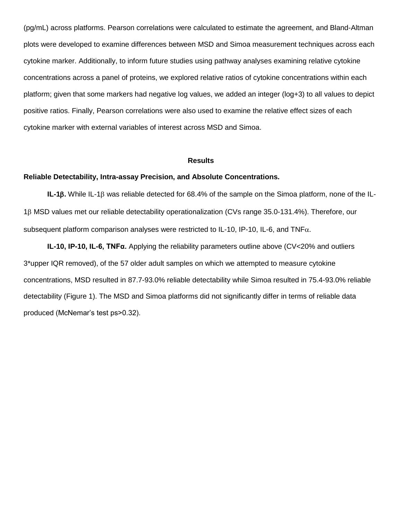(pg/mL) across platforms. Pearson correlations were calculated to estimate the agreement, and Bland-Altman plots were developed to examine differences between MSD and Simoa measurement techniques across each cytokine marker. Additionally, to inform future studies using pathway analyses examining relative cytokine concentrations across a panel of proteins, we explored relative ratios of cytokine concentrations within each platform; given that some markers had negative log values, we added an integer (log+3) to all values to depict positive ratios. Finally, Pearson correlations were also used to examine the relative effect sizes of each cytokine marker with external variables of interest across MSD and Simoa.

#### **Results**

## **Reliable Detectability, Intra-assay Precision, and Absolute Concentrations.**

**IL-1B.** While IL-1B was reliable detected for 68.4% of the sample on the Simoa platform, none of the IL-1<sub>8</sub> MSD values met our reliable detectability operationalization (CVs range 35.0-131.4%). Therefore, our subsequent platform comparison analyses were restricted to IL-10, IP-10, IL-6, and  $TNF\alpha$ .

**IL-10, IP-10, IL-6, TNFα.** Applying the reliability parameters outline above (CV<20% and outliers 3\*upper IQR removed), of the 57 older adult samples on which we attempted to measure cytokine concentrations, MSD resulted in 87.7-93.0% reliable detectability while Simoa resulted in 75.4-93.0% reliable detectability (Figure 1). The MSD and Simoa platforms did not significantly differ in terms of reliable data produced (McNemar's test ps>0.32).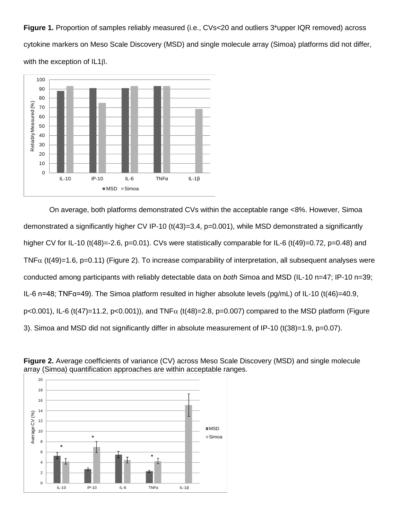Figure 1. Proportion of samples reliably measured (i.e., CVs<20 and outliers 3\*upper IQR removed) across cytokine markers on Meso Scale Discovery (MSD) and single molecule array (Simoa) platforms did not differ, with the exception of  $IL1\beta$ .



On average, both platforms demonstrated CVs within the acceptable range <8%. However, Simoa demonstrated a significantly higher CV IP-10 (t(43)=3.4, p=0.001), while MSD demonstrated a significantly higher CV for IL-10 (t(48)=-2.6, p=0.01). CVs were statistically comparable for IL-6 (t(49)=0.72, p=0.48) and TNF $\alpha$  (t(49)=1.6, p=0.11) (Figure 2). To increase comparability of interpretation, all subsequent analyses were conducted among participants with reliably detectable data on *both* Simoa and MSD (IL-10 n=47; IP-10 n=39; IL-6 n=48; TNFα=49). The Simoa platform resulted in higher absolute levels (pg/mL) of IL-10 (t(46)=40.9, p<0.001), IL-6 (t(47)=11.2, p<0.001)), and TNF $\alpha$  (t(48)=2.8, p=0.007) compared to the MSD platform (Figure 3). Simoa and MSD did not significantly differ in absolute measurement of IP-10 (t(38)=1.9, p=0.07).



**Figure 2.** Average coefficients of variance (CV) across Meso Scale Discovery (MSD) and single molecule array (Simoa) quantification approaches are within acceptable ranges.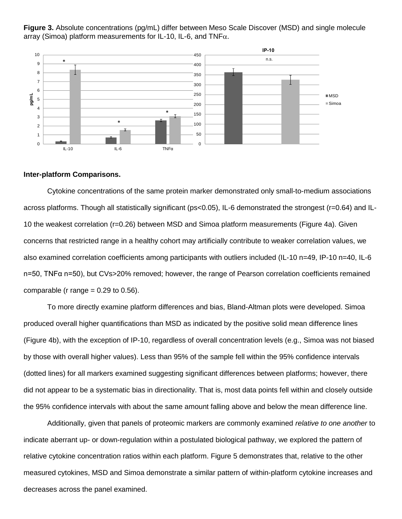

**Figure 3.** Absolute concentrations (pg/mL) differ between Meso Scale Discover (MSD) and single molecule array (Simoa) platform measurements for IL-10, IL-6, and TNF $\alpha$ .

# **Inter-platform Comparisons.**

Cytokine concentrations of the same protein marker demonstrated only small-to-medium associations across platforms. Though all statistically significant (ps<0.05), IL-6 demonstrated the strongest (r=0.64) and IL-10 the weakest correlation (r=0.26) between MSD and Simoa platform measurements (Figure 4a). Given concerns that restricted range in a healthy cohort may artificially contribute to weaker correlation values, we also examined correlation coefficients among participants with outliers included (IL-10 n=49, IP-10 n=40, IL-6 n=50, TNFα n=50), but CVs>20% removed; however, the range of Pearson correlation coefficients remained comparable (r range  $= 0.29$  to 0.56).

To more directly examine platform differences and bias, Bland-Altman plots were developed. Simoa produced overall higher quantifications than MSD as indicated by the positive solid mean difference lines (Figure 4b), with the exception of IP-10, regardless of overall concentration levels (e.g., Simoa was not biased by those with overall higher values). Less than 95% of the sample fell within the 95% confidence intervals (dotted lines) for all markers examined suggesting significant differences between platforms; however, there did not appear to be a systematic bias in directionality. That is, most data points fell within and closely outside the 95% confidence intervals with about the same amount falling above and below the mean difference line.

Additionally, given that panels of proteomic markers are commonly examined *relative to one another* to indicate aberrant up- or down-regulation within a postulated biological pathway, we explored the pattern of relative cytokine concentration ratios within each platform. Figure 5 demonstrates that, relative to the other measured cytokines, MSD and Simoa demonstrate a similar pattern of within-platform cytokine increases and decreases across the panel examined.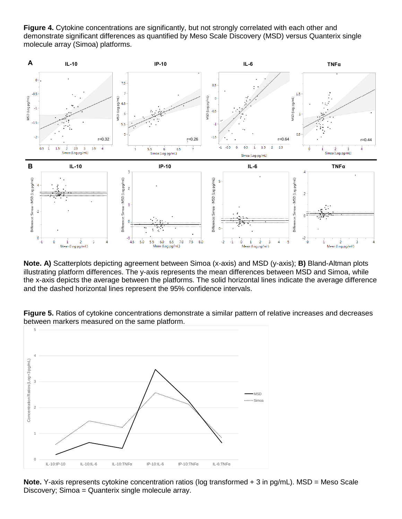**Figure 4.** Cytokine concentrations are significantly, but not strongly correlated with each other and demonstrate significant differences as quantified by Meso Scale Discovery (MSD) versus Quanterix single molecule array (Simoa) platforms.



**Note. A)** Scatterplots depicting agreement between Simoa (x-axis) and MSD (y-axis); **B)** Bland-Altman plots illustrating platform differences. The y-axis represents the mean differences between MSD and Simoa, while the x-axis depicts the average between the platforms. The solid horizontal lines indicate the average difference and the dashed horizontal lines represent the 95% confidence intervals.



**Figure 5.** Ratios of cytokine concentrations demonstrate a similar pattern of relative increases and decreases between markers measured on the same platform.

**Note.** Y-axis represents cytokine concentration ratios (log transformed + 3 in pg/mL). MSD = Meso Scale Discovery; Simoa = Quanterix single molecule array.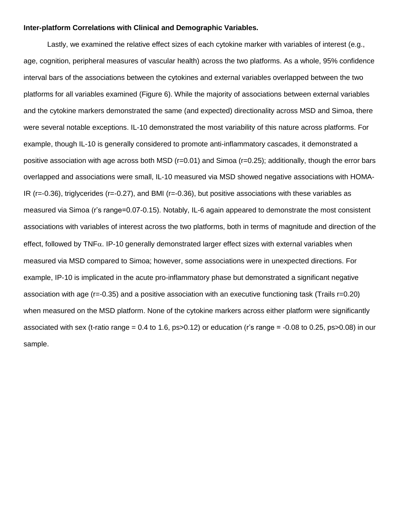#### **Inter-platform Correlations with Clinical and Demographic Variables.**

Lastly, we examined the relative effect sizes of each cytokine marker with variables of interest (e.g., age, cognition, peripheral measures of vascular health) across the two platforms. As a whole, 95% confidence interval bars of the associations between the cytokines and external variables overlapped between the two platforms for all variables examined (Figure 6). While the majority of associations between external variables and the cytokine markers demonstrated the same (and expected) directionality across MSD and Simoa, there were several notable exceptions. IL-10 demonstrated the most variability of this nature across platforms. For example, though IL-10 is generally considered to promote anti-inflammatory cascades, it demonstrated a positive association with age across both MSD (r=0.01) and Simoa (r=0.25); additionally, though the error bars overlapped and associations were small, IL-10 measured via MSD showed negative associations with HOMA-IR (r=-0.36), triglycerides (r=-0.27), and BMI (r=-0.36), but positive associations with these variables as measured via Simoa (r's range=0.07-0.15). Notably, IL-6 again appeared to demonstrate the most consistent associations with variables of interest across the two platforms, both in terms of magnitude and direction of the effect, followed by  $TNF<sub>\alpha</sub>$ . IP-10 generally demonstrated larger effect sizes with external variables when measured via MSD compared to Simoa; however, some associations were in unexpected directions. For example, IP-10 is implicated in the acute pro-inflammatory phase but demonstrated a significant negative association with age (r=-0.35) and a positive association with an executive functioning task (Trails r=0.20) when measured on the MSD platform. None of the cytokine markers across either platform were significantly associated with sex (t-ratio range = 0.4 to 1.6, ps>0.12) or education (r's range = -0.08 to 0.25, ps>0.08) in our sample.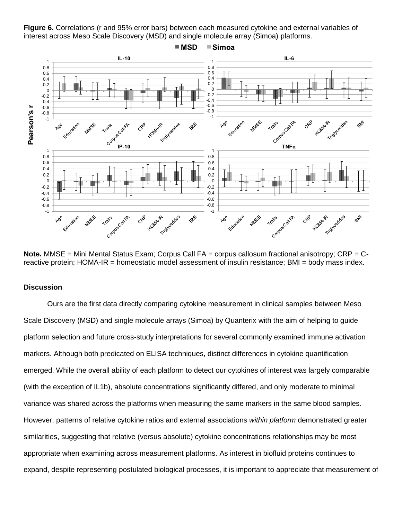**Figure 6.** Correlations (r and 95% error bars) between each measured cytokine and external variables of interest across Meso Scale Discovery (MSD) and single molecule array (Simoa) platforms.



**Note.** MMSE = Mini Mental Status Exam; Corpus Call FA = corpus callosum fractional anisotropy; CRP = Creactive protein; HOMA-IR = homeostatic model assessment of insulin resistance; BMI = body mass index.

## **Discussion**

Ours are the first data directly comparing cytokine measurement in clinical samples between Meso Scale Discovery (MSD) and single molecule arrays (Simoa) by Quanterix with the aim of helping to guide platform selection and future cross-study interpretations for several commonly examined immune activation markers. Although both predicated on ELISA techniques, distinct differences in cytokine quantification emerged. While the overall ability of each platform to detect our cytokines of interest was largely comparable (with the exception of IL1b), absolute concentrations significantly differed, and only moderate to minimal variance was shared across the platforms when measuring the same markers in the same blood samples. However, patterns of relative cytokine ratios and external associations *within platform* demonstrated greater similarities, suggesting that relative (versus absolute) cytokine concentrations relationships may be most appropriate when examining across measurement platforms. As interest in biofluid proteins continues to expand, despite representing postulated biological processes, it is important to appreciate that measurement of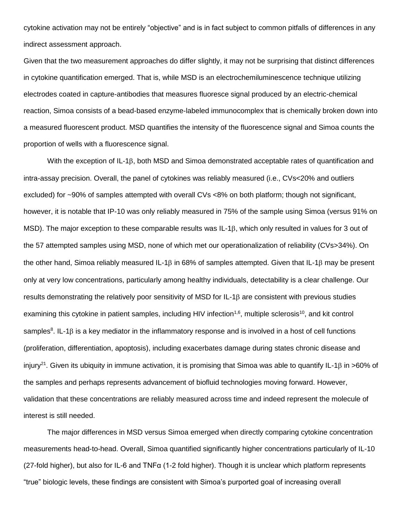cytokine activation may not be entirely "objective" and is in fact subject to common pitfalls of differences in any indirect assessment approach.

Given that the two measurement approaches do differ slightly, it may not be surprising that distinct differences in cytokine quantification emerged. That is, while MSD is an electrochemiluminescence technique utilizing electrodes coated in capture-antibodies that measures fluoresce signal produced by an electric-chemical reaction, Simoa consists of a bead-based enzyme-labeled immunocomplex that is chemically broken down into a measured fluorescent product. MSD quantifies the intensity of the fluorescence signal and Simoa counts the proportion of wells with a fluorescence signal.

With the exception of IL-1 $\beta$ , both MSD and Simoa demonstrated acceptable rates of quantification and intra-assay precision. Overall, the panel of cytokines was reliably measured (i.e., CVs<20% and outliers excluded) for ~90% of samples attempted with overall CVs <8% on both platform; though not significant, however, it is notable that IP-10 was only reliably measured in 75% of the sample using Simoa (versus 91% on MSD). The major exception to these comparable results was  $IL-1\beta$ , which only resulted in values for 3 out of the 57 attempted samples using MSD, none of which met our operationalization of reliability (CVs>34%). On the other hand, Simoa reliably measured IL-1 $\beta$  in 68% of samples attempted. Given that IL-1 $\beta$  may be present only at very low concentrations, particularly among healthy individuals, detectability is a clear challenge. Our results demonstrating the relatively poor sensitivity of MSD for IL-1 $\beta$  are consistent with previous studies examining this cytokine in patient samples, including HIV infection<sup>1,6</sup>, multiple sclerosis<sup>10</sup>, and kit control samples<sup>8</sup>. IL-1 $\beta$  is a key mediator in the inflammatory response and is involved in a host of cell functions (proliferation, differentiation, apoptosis), including exacerbates damage during states chronic disease and injury<sup>21</sup>. Given its ubiquity in immune activation, it is promising that Simoa was able to quantify IL-1 $\beta$  in >60% of the samples and perhaps represents advancement of biofluid technologies moving forward. However, validation that these concentrations are reliably measured across time and indeed represent the molecule of interest is still needed.

The major differences in MSD versus Simoa emerged when directly comparing cytokine concentration measurements head-to-head. Overall, Simoa quantified significantly higher concentrations particularly of IL-10 (27-fold higher), but also for IL-6 and TNFα (1-2 fold higher). Though it is unclear which platform represents "true" biologic levels, these findings are consistent with Simoa's purported goal of increasing overall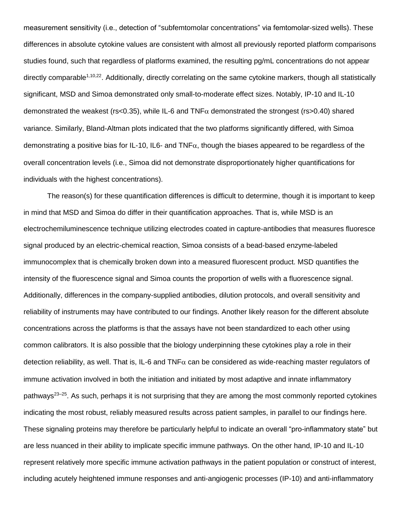measurement sensitivity (i.e., detection of "subfemtomolar concentrations" via femtomolar-sized wells). These differences in absolute cytokine values are consistent with almost all previously reported platform comparisons studies found, such that regardless of platforms examined, the resulting pg/mL concentrations do not appear directly comparable<sup>1,10,22</sup>. Additionally, directly correlating on the same cytokine markers, though all statistically significant, MSD and Simoa demonstrated only small-to-moderate effect sizes. Notably, IP-10 and IL-10 demonstrated the weakest (rs<0.35), while IL-6 and  $TNF\alpha$  demonstrated the strongest (rs>0.40) shared variance. Similarly, Bland-Altman plots indicated that the two platforms significantly differed, with Simoa demonstrating a positive bias for IL-10, IL6- and TNF $\alpha$ , though the biases appeared to be regardless of the overall concentration levels (i.e., Simoa did not demonstrate disproportionately higher quantifications for individuals with the highest concentrations).

The reason(s) for these quantification differences is difficult to determine, though it is important to keep in mind that MSD and Simoa do differ in their quantification approaches. That is, while MSD is an electrochemiluminescence technique utilizing electrodes coated in capture-antibodies that measures fluoresce signal produced by an electric-chemical reaction, Simoa consists of a bead-based enzyme-labeled immunocomplex that is chemically broken down into a measured fluorescent product. MSD quantifies the intensity of the fluorescence signal and Simoa counts the proportion of wells with a fluorescence signal. Additionally, differences in the company-supplied antibodies, dilution protocols, and overall sensitivity and reliability of instruments may have contributed to our findings. Another likely reason for the different absolute concentrations across the platforms is that the assays have not been standardized to each other using common calibrators. It is also possible that the biology underpinning these cytokines play a role in their detection reliability, as well. That is, IL-6 and TNF $\alpha$  can be considered as wide-reaching master regulators of immune activation involved in both the initiation and initiated by most adaptive and innate inflammatory pathways<sup>23–25</sup>. As such, perhaps it is not surprising that they are among the most commonly reported cytokines indicating the most robust, reliably measured results across patient samples, in parallel to our findings here. These signaling proteins may therefore be particularly helpful to indicate an overall "pro-inflammatory state" but are less nuanced in their ability to implicate specific immune pathways. On the other hand, IP-10 and IL-10 represent relatively more specific immune activation pathways in the patient population or construct of interest, including acutely heightened immune responses and anti-angiogenic processes (IP-10) and anti-inflammatory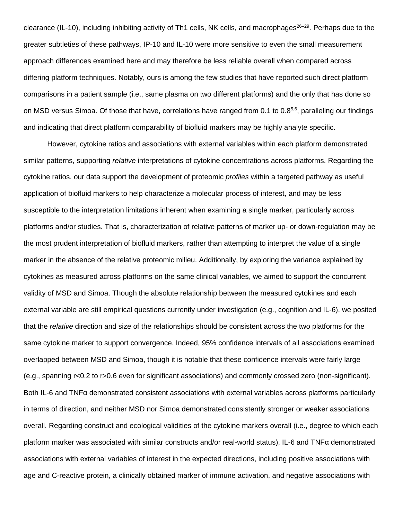clearance (IL-10), including inhibiting activity of Th1 cells, NK cells, and macrophages<sup>26–29</sup>. Perhaps due to the greater subtleties of these pathways, IP-10 and IL-10 were more sensitive to even the small measurement approach differences examined here and may therefore be less reliable overall when compared across differing platform techniques. Notably, ours is among the few studies that have reported such direct platform comparisons in a patient sample (i.e., same plasma on two different platforms) and the only that has done so on MSD versus Simoa. Of those that have, correlations have ranged from 0.1 to 0.8<sup>5,6</sup>, paralleling our findings and indicating that direct platform comparability of biofluid markers may be highly analyte specific.

However, cytokine ratios and associations with external variables within each platform demonstrated similar patterns, supporting *relative* interpretations of cytokine concentrations across platforms. Regarding the cytokine ratios, our data support the development of proteomic *profiles* within a targeted pathway as useful application of biofluid markers to help characterize a molecular process of interest, and may be less susceptible to the interpretation limitations inherent when examining a single marker, particularly across platforms and/or studies. That is, characterization of relative patterns of marker up- or down-regulation may be the most prudent interpretation of biofluid markers, rather than attempting to interpret the value of a single marker in the absence of the relative proteomic milieu. Additionally, by exploring the variance explained by cytokines as measured across platforms on the same clinical variables, we aimed to support the concurrent validity of MSD and Simoa. Though the absolute relationship between the measured cytokines and each external variable are still empirical questions currently under investigation (e.g., cognition and IL-6), we posited that the *relative* direction and size of the relationships should be consistent across the two platforms for the same cytokine marker to support convergence. Indeed, 95% confidence intervals of all associations examined overlapped between MSD and Simoa, though it is notable that these confidence intervals were fairly large (e.g., spanning r<0.2 to r>0.6 even for significant associations) and commonly crossed zero (non-significant). Both IL-6 and TNFα demonstrated consistent associations with external variables across platforms particularly in terms of direction, and neither MSD nor Simoa demonstrated consistently stronger or weaker associations overall. Regarding construct and ecological validities of the cytokine markers overall (i.e., degree to which each platform marker was associated with similar constructs and/or real-world status), IL-6 and TNFα demonstrated associations with external variables of interest in the expected directions, including positive associations with age and C-reactive protein, a clinically obtained marker of immune activation, and negative associations with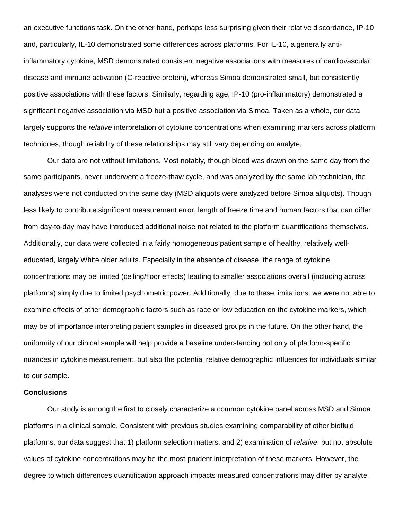an executive functions task. On the other hand, perhaps less surprising given their relative discordance, IP-10 and, particularly, IL-10 demonstrated some differences across platforms. For IL-10, a generally antiinflammatory cytokine, MSD demonstrated consistent negative associations with measures of cardiovascular disease and immune activation (C-reactive protein), whereas Simoa demonstrated small, but consistently positive associations with these factors. Similarly, regarding age, IP-10 (pro-inflammatory) demonstrated a significant negative association via MSD but a positive association via Simoa. Taken as a whole, our data largely supports the *relative* interpretation of cytokine concentrations when examining markers across platform techniques, though reliability of these relationships may still vary depending on analyte,

Our data are not without limitations. Most notably, though blood was drawn on the same day from the same participants, never underwent a freeze-thaw cycle, and was analyzed by the same lab technician, the analyses were not conducted on the same day (MSD aliquots were analyzed before Simoa aliquots). Though less likely to contribute significant measurement error, length of freeze time and human factors that can differ from day-to-day may have introduced additional noise not related to the platform quantifications themselves. Additionally, our data were collected in a fairly homogeneous patient sample of healthy, relatively welleducated, largely White older adults. Especially in the absence of disease, the range of cytokine concentrations may be limited (ceiling/floor effects) leading to smaller associations overall (including across platforms) simply due to limited psychometric power. Additionally, due to these limitations, we were not able to examine effects of other demographic factors such as race or low education on the cytokine markers, which may be of importance interpreting patient samples in diseased groups in the future. On the other hand, the uniformity of our clinical sample will help provide a baseline understanding not only of platform-specific nuances in cytokine measurement, but also the potential relative demographic influences for individuals similar to our sample.

### **Conclusions**

Our study is among the first to closely characterize a common cytokine panel across MSD and Simoa platforms in a clinical sample. Consistent with previous studies examining comparability of other biofluid platforms, our data suggest that 1) platform selection matters, and 2) examination of *relative*, but not absolute values of cytokine concentrations may be the most prudent interpretation of these markers. However, the degree to which differences quantification approach impacts measured concentrations may differ by analyte.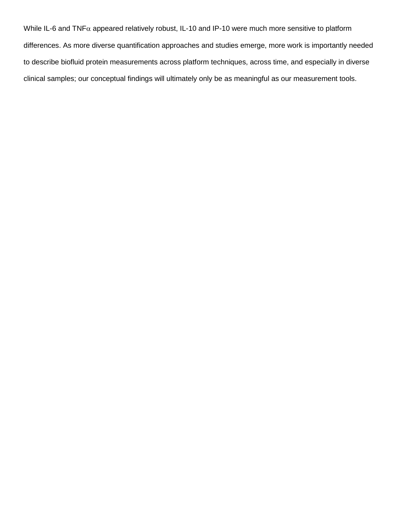While IL-6 and TNF $\alpha$  appeared relatively robust, IL-10 and IP-10 were much more sensitive to platform differences. As more diverse quantification approaches and studies emerge, more work is importantly needed to describe biofluid protein measurements across platform techniques, across time, and especially in diverse clinical samples; our conceptual findings will ultimately only be as meaningful as our measurement tools.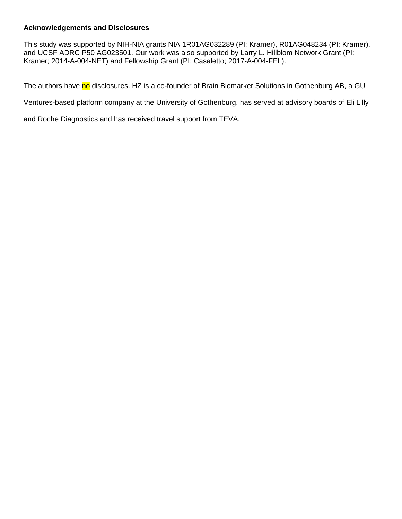# **Acknowledgements and Disclosures**

This study was supported by NIH-NIA grants NIA 1R01AG032289 (PI: Kramer), R01AG048234 (PI: Kramer), and UCSF ADRC P50 AG023501. Our work was also supported by Larry L. Hillblom Network Grant (PI: Kramer; 2014-A-004-NET) and Fellowship Grant (PI: Casaletto; 2017-A-004-FEL).

The authors have no disclosures. HZ is a co-founder of Brain Biomarker Solutions in Gothenburg AB, a GU

Ventures-based platform company at the University of Gothenburg, has served at advisory boards of Eli Lilly

and Roche Diagnostics and has received travel support from TEVA.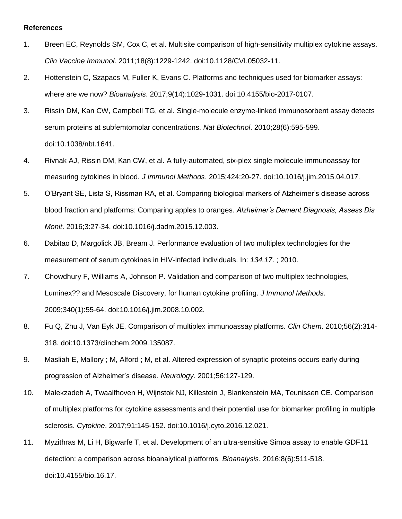### **References**

- 1. Breen EC, Reynolds SM, Cox C, et al. Multisite comparison of high-sensitivity multiplex cytokine assays. *Clin Vaccine Immunol*. 2011;18(8):1229-1242. doi:10.1128/CVI.05032-11.
- 2. Hottenstein C, Szapacs M, Fuller K, Evans C. Platforms and techniques used for biomarker assays: where are we now? *Bioanalysis*. 2017;9(14):1029-1031. doi:10.4155/bio-2017-0107.
- 3. Rissin DM, Kan CW, Campbell TG, et al. Single-molecule enzyme-linked immunosorbent assay detects serum proteins at subfemtomolar concentrations. *Nat Biotechnol*. 2010;28(6):595-599. doi:10.1038/nbt.1641.
- 4. Rivnak AJ, Rissin DM, Kan CW, et al. A fully-automated, six-plex single molecule immunoassay for measuring cytokines in blood. *J Immunol Methods*. 2015;424:20-27. doi:10.1016/j.jim.2015.04.017.
- 5. O'Bryant SE, Lista S, Rissman RA, et al. Comparing biological markers of Alzheimer's disease across blood fraction and platforms: Comparing apples to oranges. *Alzheimer's Dement Diagnosis, Assess Dis Monit*. 2016;3:27-34. doi:10.1016/j.dadm.2015.12.003.
- 6. Dabitao D, Margolick JB, Bream J. Performance evaluation of two multiplex technologies for the measurement of serum cytokines in HIV-infected individuals. In: *134.17*. ; 2010.
- 7. Chowdhury F, Williams A, Johnson P. Validation and comparison of two multiplex technologies, Luminex?? and Mesoscale Discovery, for human cytokine profiling. *J Immunol Methods*. 2009;340(1):55-64. doi:10.1016/j.jim.2008.10.002.
- 8. Fu Q, Zhu J, Van Eyk JE. Comparison of multiplex immunoassay platforms. *Clin Chem*. 2010;56(2):314- 318. doi:10.1373/clinchem.2009.135087.
- 9. Masliah E, Mallory ; M, Alford ; M, et al. Altered expression of synaptic proteins occurs early during progression of Alzheimer's disease. *Neurology*. 2001;56:127-129.
- 10. Malekzadeh A, Twaalfhoven H, Wijnstok NJ, Killestein J, Blankenstein MA, Teunissen CE. Comparison of multiplex platforms for cytokine assessments and their potential use for biomarker profiling in multiple sclerosis. *Cytokine*. 2017;91:145-152. doi:10.1016/j.cyto.2016.12.021.
- 11. Myzithras M, Li H, Bigwarfe T, et al. Development of an ultra-sensitive Simoa assay to enable GDF11 detection: a comparison across bioanalytical platforms. *Bioanalysis*. 2016;8(6):511-518. doi:10.4155/bio.16.17.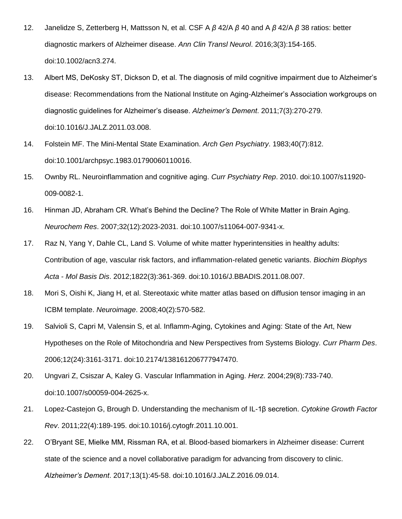- 12. Janelidze S, Zetterberg H, Mattsson N, et al. CSF A *β* 42/A *β* 40 and A *β* 42/A *β* 38 ratios: better diagnostic markers of Alzheimer disease. *Ann Clin Transl Neurol*. 2016;3(3):154-165. doi:10.1002/acn3.274.
- 13. Albert MS, DeKosky ST, Dickson D, et al. The diagnosis of mild cognitive impairment due to Alzheimer's disease: Recommendations from the National Institute on Aging-Alzheimer's Association workgroups on diagnostic guidelines for Alzheimer's disease. *Alzheimer's Dement*. 2011;7(3):270-279. doi:10.1016/J.JALZ.2011.03.008.
- 14. Folstein MF. The Mini-Mental State Examination. *Arch Gen Psychiatry*. 1983;40(7):812. doi:10.1001/archpsyc.1983.01790060110016.
- 15. Ownby RL. Neuroinflammation and cognitive aging. *Curr Psychiatry Rep*. 2010. doi:10.1007/s11920- 009-0082-1.
- 16. Hinman JD, Abraham CR. What's Behind the Decline? The Role of White Matter in Brain Aging. *Neurochem Res*. 2007;32(12):2023-2031. doi:10.1007/s11064-007-9341-x.
- 17. Raz N, Yang Y, Dahle CL, Land S. Volume of white matter hyperintensities in healthy adults: Contribution of age, vascular risk factors, and inflammation-related genetic variants. *Biochim Biophys Acta - Mol Basis Dis*. 2012;1822(3):361-369. doi:10.1016/J.BBADIS.2011.08.007.
- 18. Mori S, Oishi K, Jiang H, et al. Stereotaxic white matter atlas based on diffusion tensor imaging in an ICBM template. *Neuroimage*. 2008;40(2):570-582.
- 19. Salvioli S, Capri M, Valensin S, et al. Inflamm-Aging, Cytokines and Aging: State of the Art, New Hypotheses on the Role of Mitochondria and New Perspectives from Systems Biology. *Curr Pharm Des*. 2006;12(24):3161-3171. doi:10.2174/138161206777947470.
- 20. Ungvari Z, Csiszar A, Kaley G. Vascular Inflammation in Aging. *Herz*. 2004;29(8):733-740. doi:10.1007/s00059-004-2625-x.
- 21. Lopez-Castejon G, Brough D. Understanding the mechanism of IL-1β secretion. *Cytokine Growth Factor Rev*. 2011;22(4):189-195. doi:10.1016/j.cytogfr.2011.10.001.
- 22. O'Bryant SE, Mielke MM, Rissman RA, et al. Blood-based biomarkers in Alzheimer disease: Current state of the science and a novel collaborative paradigm for advancing from discovery to clinic. *Alzheimer's Dement*. 2017;13(1):45-58. doi:10.1016/J.JALZ.2016.09.014.